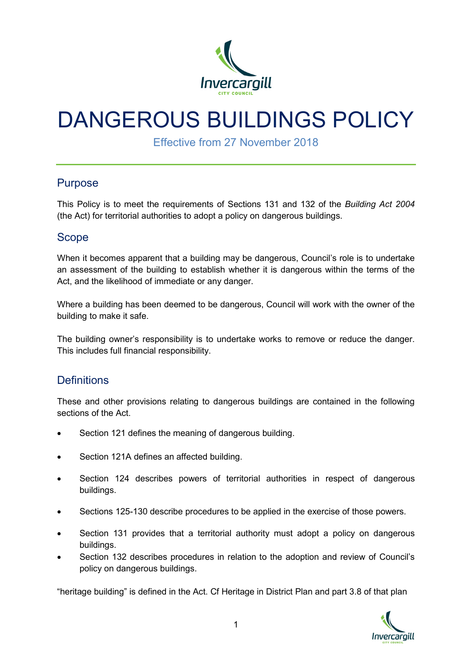

# DANGEROUS BUILDINGS POLICY

Effective from 27 November 2018

### Purpose

This Policy is to meet the requirements of Sections 131 and 132 of the *Building Act 2004* (the Act) for territorial authorities to adopt a policy on dangerous buildings.

### Scope

When it becomes apparent that a building may be dangerous, Council's role is to undertake an assessment of the building to establish whether it is dangerous within the terms of the Act, and the likelihood of immediate or any danger.

Where a building has been deemed to be dangerous, Council will work with the owner of the building to make it safe.

The building owner's responsibility is to undertake works to remove or reduce the danger. This includes full financial responsibility.

### **Definitions**

These and other provisions relating to dangerous buildings are contained in the following sections of the Act.

- Section 121 defines the meaning of dangerous building.
- Section 121A defines an affected building.
- Section 124 describes powers of territorial authorities in respect of dangerous buildings.
- Sections 125-130 describe procedures to be applied in the exercise of those powers.
- Section 131 provides that a territorial authority must adopt a policy on dangerous buildings.
- Section 132 describes procedures in relation to the adoption and review of Council's policy on dangerous buildings.

"heritage building" is defined in the Act. Cf Heritage in District Plan and part 3.8 of that plan

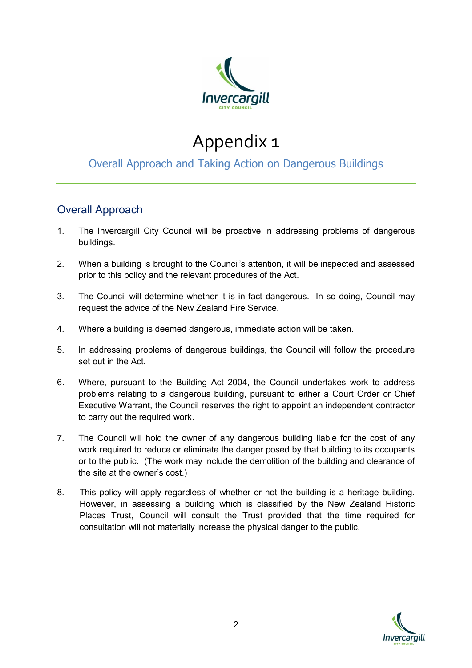

# Appendix 1

## Overall Approach and Taking Action on Dangerous Buildings

### Overall Approach

- 1. The Invercargill City Council will be proactive in addressing problems of dangerous buildings.
- 2. When a building is brought to the Council's attention, it will be inspected and assessed prior to this policy and the relevant procedures of the Act.
- 3. The Council will determine whether it is in fact dangerous. In so doing, Council may request the advice of the New Zealand Fire Service.
- 4. Where a building is deemed dangerous, immediate action will be taken.
- 5. In addressing problems of dangerous buildings, the Council will follow the procedure set out in the Act.
- 6. Where, pursuant to the Building Act 2004, the Council undertakes work to address problems relating to a dangerous building, pursuant to either a Court Order or Chief Executive Warrant, the Council reserves the right to appoint an independent contractor to carry out the required work.
- 7. The Council will hold the owner of any dangerous building liable for the cost of any work required to reduce or eliminate the danger posed by that building to its occupants or to the public. (The work may include the demolition of the building and clearance of the site at the owner's cost.)
- 8. This policy will apply regardless of whether or not the building is a heritage building. However, in assessing a building which is classified by the New Zealand Historic Places Trust, Council will consult the Trust provided that the time required for consultation will not materially increase the physical danger to the public.

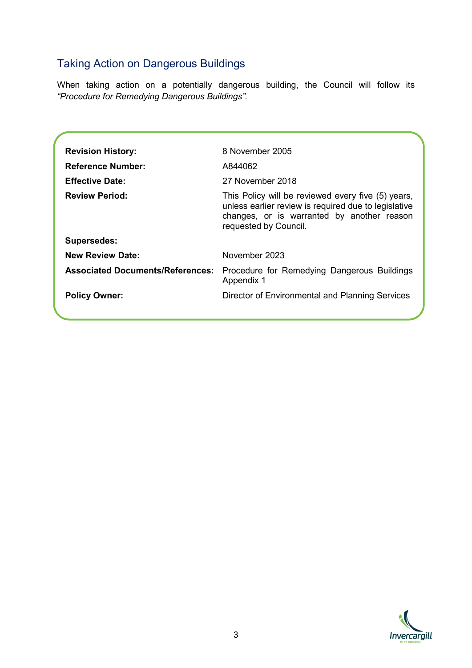## Taking Action on Dangerous Buildings

When taking action on a potentially dangerous building, the Council will follow its *"Procedure for Remedying Dangerous Buildings".*

| <b>Revision History:</b>                | 8 November 2005                                                                                                                                                                   |
|-----------------------------------------|-----------------------------------------------------------------------------------------------------------------------------------------------------------------------------------|
| <b>Reference Number:</b>                | A844062                                                                                                                                                                           |
| <b>Effective Date:</b>                  | 27 November 2018                                                                                                                                                                  |
| <b>Review Period:</b>                   | This Policy will be reviewed every five (5) years,<br>unless earlier review is required due to legislative<br>changes, or is warranted by another reason<br>requested by Council. |
| <b>Supersedes:</b>                      |                                                                                                                                                                                   |
| <b>New Review Date:</b>                 | November 2023                                                                                                                                                                     |
| <b>Associated Documents/References:</b> | Procedure for Remedying Dangerous Buildings<br>Appendix 1                                                                                                                         |
| <b>Policy Owner:</b>                    | Director of Environmental and Planning Services                                                                                                                                   |
|                                         |                                                                                                                                                                                   |